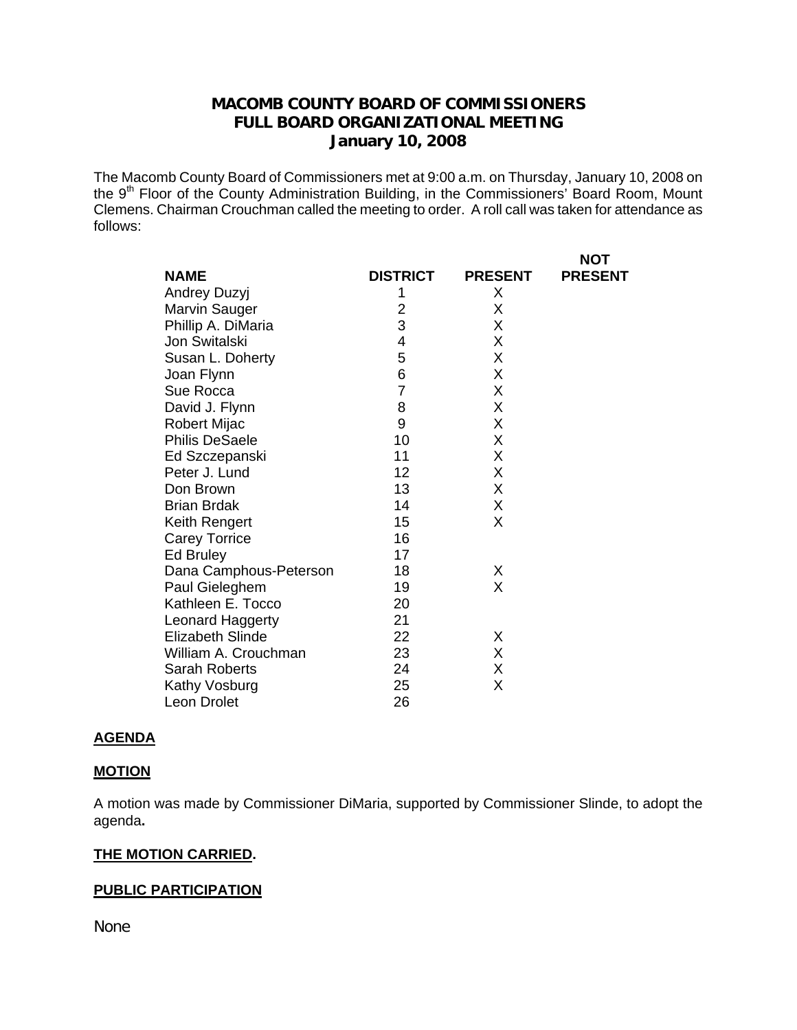# **MACOMB COUNTY BOARD OF COMMISSIONERS FULL BOARD ORGANIZATIONAL MEETING January 10, 2008**

The Macomb County Board of Commissioners met at 9:00 a.m. on Thursday, January 10, 2008 on the 9th Floor of the County Administration Building, in the Commissioners' Board Room, Mount Clemens. Chairman Crouchman called the meeting to order. A roll call was taken for attendance as follows:

|                         |                 |                | <b>NOT</b>     |
|-------------------------|-----------------|----------------|----------------|
| <b>NAME</b>             | <b>DISTRICT</b> | <b>PRESENT</b> | <b>PRESENT</b> |
| Andrey Duzyj            | 1               | Х              |                |
| Marvin Sauger           | 2               | X              |                |
| Phillip A. DiMaria      | 3               | X              |                |
| Jon Switalski           | 4               | X              |                |
| Susan L. Doherty        | 5               | X              |                |
| Joan Flynn              | 6               | X              |                |
| Sue Rocca               | $\overline{7}$  | X              |                |
| David J. Flynn          | 8               | X              |                |
| Robert Mijac            | 9               | X              |                |
| <b>Philis DeSaele</b>   | 10              | X              |                |
| Ed Szczepanski          | 11              | X              |                |
| Peter J. Lund           | 12              | X              |                |
| Don Brown               | 13              | X              |                |
| <b>Brian Brdak</b>      | 14              | X              |                |
| Keith Rengert           | 15              | X              |                |
| <b>Carey Torrice</b>    | 16              |                |                |
| Ed Bruley               | 17              |                |                |
| Dana Camphous-Peterson  | 18              | X              |                |
| Paul Gieleghem          | 19              | X              |                |
| Kathleen E. Tocco       | 20              |                |                |
| Leonard Haggerty        | 21              |                |                |
| <b>Elizabeth Slinde</b> | 22              | X              |                |
| William A. Crouchman    | 23              | Χ              |                |
| Sarah Roberts           | 24              | X              |                |
| Kathy Vosburg           | 25              | Χ              |                |
| Leon Drolet             | 26              |                |                |

#### **AGENDA**

#### **MOTION**

A motion was made by Commissioner DiMaria, supported by Commissioner Slinde, to adopt the agenda**.** 

#### **THE MOTION CARRIED.**

## **PUBLIC PARTICIPATION**

None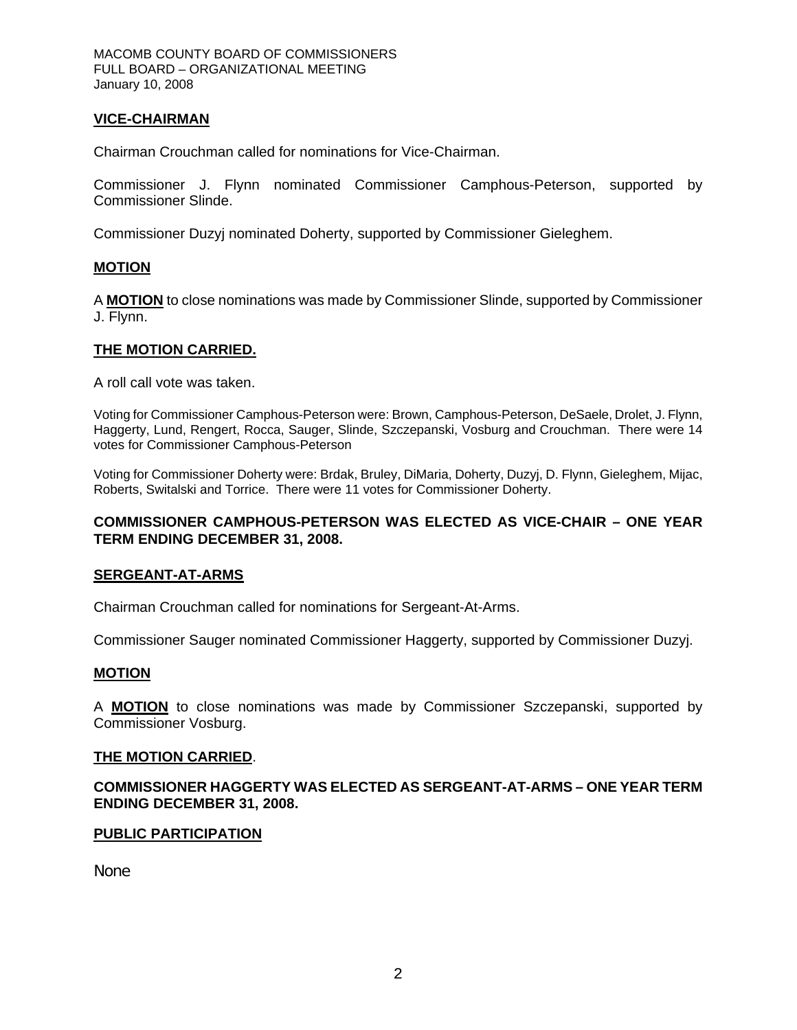## **VICE-CHAIRMAN**

Chairman Crouchman called for nominations for Vice-Chairman.

Commissioner J. Flynn nominated Commissioner Camphous-Peterson, supported by Commissioner Slinde.

Commissioner Duzyj nominated Doherty, supported by Commissioner Gieleghem.

## **MOTION**

A **MOTION** to close nominations was made by Commissioner Slinde, supported by Commissioner J. Flynn.

## **THE MOTION CARRIED.**

A roll call vote was taken.

Voting for Commissioner Camphous-Peterson were: Brown, Camphous-Peterson, DeSaele, Drolet, J. Flynn, Haggerty, Lund, Rengert, Rocca, Sauger, Slinde, Szczepanski, Vosburg and Crouchman. There were 14 votes for Commissioner Camphous-Peterson

Voting for Commissioner Doherty were: Brdak, Bruley, DiMaria, Doherty, Duzyj, D. Flynn, Gieleghem, Mijac, Roberts, Switalski and Torrice. There were 11 votes for Commissioner Doherty.

## **COMMISSIONER CAMPHOUS-PETERSON WAS ELECTED AS VICE-CHAIR – ONE YEAR TERM ENDING DECEMBER 31, 2008.**

#### **SERGEANT-AT-ARMS**

Chairman Crouchman called for nominations for Sergeant-At-Arms.

Commissioner Sauger nominated Commissioner Haggerty, supported by Commissioner Duzyj.

## **MOTION**

A **MOTION** to close nominations was made by Commissioner Szczepanski, supported by Commissioner Vosburg.

#### **THE MOTION CARRIED**.

**COMMISSIONER HAGGERTY WAS ELECTED AS SERGEANT-AT-ARMS – ONE YEAR TERM ENDING DECEMBER 31, 2008.** 

## **PUBLIC PARTICIPATION**

None